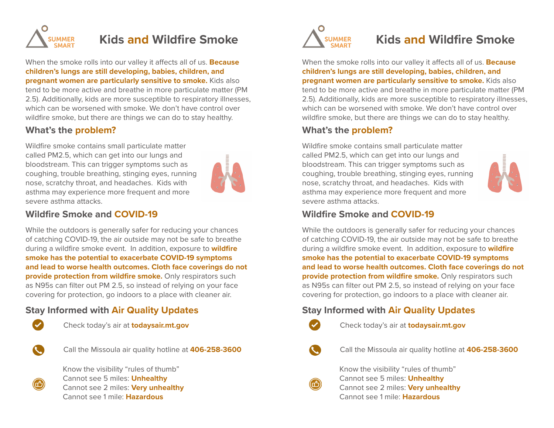

# **Kids and Wildfire Smoke**

When the smoke rolls into our valley it affects all of us. **Because children's lungs are still developing, babies, children, and pregnant women are particularly sensitive to smoke.** Kids also tend to be more active and breathe in more particulate matter (PM 2.5). Additionally, kids are more susceptible to respiratory illnesses, which can be worsened with smoke. We don't have control over wildfire smoke, but there are things we can do to stay healthy.

#### **What's the problem?**

Wildfire smoke contains small particulate matter called PM2.5, which can get into our lungs and bloodstream. This can trigger symptoms such as coughing, trouble breathing, stinging eyes, running nose, scratchy throat, and headaches. Kids with asthma may experience more frequent and more severe asthma attacks.



### **Wildfire Smoke and COVID-19**

While the outdoors is generally safer for reducing your chances of catching COVID-19, the air outside may not be safe to breathe during a wildfire smoke event. In addition, exposure to **wildfire smoke has the potential to exacerbate COVID-19 symptoms and lead to worse health outcomes. Cloth face coverings do not provide protection from wildfire smoke.** Only respirators such as N95s can filter out PM 2.5, so instead of relying on your face covering for protection, go indoors to a place with cleaner air.

# **Stay Informed with Air Quality Updates**



Check today's air at **todaysair.mt.gov**



Call the Missoula air quality hotline at **406-258-3600**



Know the visibility "rules of thumb" Cannot see 5 miles: **Unhealthy**  Cannot see 2 miles: **Very unhealthy** Cannot see 1 mile: **Hazardous**



# **Kids and Wildfire Smoke**

When the smoke rolls into our valley it affects all of us. **Because children's lungs are still developing, babies, children, and pregnant women are particularly sensitive to smoke.** Kids also tend to be more active and breathe in more particulate matter (PM 2.5). Additionally, kids are more susceptible to respiratory illnesses, which can be worsened with smoke. We don't have control over wildfire smoke, but there are things we can do to stay healthy.

#### **What's the problem?**

Wildfire smoke contains small particulate matter called PM2.5, which can get into our lungs and bloodstream. This can trigger symptoms such as coughing, trouble breathing, stinging eyes, running nose, scratchy throat, and headaches. Kids with asthma may experience more frequent and more severe asthma attacks.



# **Wildfire Smoke and COVID-19**

While the outdoors is generally safer for reducing your chances of catching COVID-19, the air outside may not be safe to breathe during a wildfire smoke event. In addition, exposure to **wildfire smoke has the potential to exacerbate COVID-19 symptoms and lead to worse health outcomes. Cloth face coverings do not provide protection from wildfire smoke.** Only respirators such as N95s can filter out PM 2.5, so instead of relying on your face covering for protection, go indoors to a place with cleaner air.

### **Stay Informed with Air Quality Updates**



Check today's air at **todaysair.mt.gov**

Call the Missoula air quality hotline at **406-258-3600**



Know the visibility "rules of thumb" Cannot see 5 miles: **Unhealthy**  Cannot see 2 miles: **Very unhealthy** Cannot see 1 mile: **Hazardous**